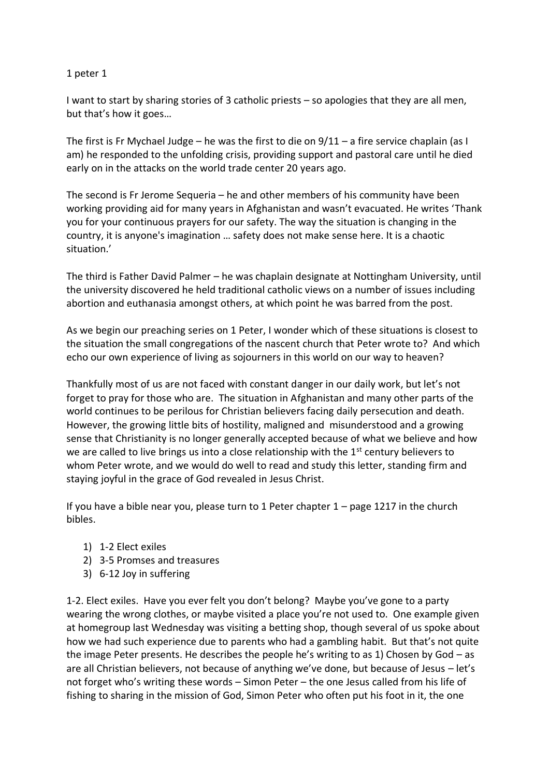## 1 peter 1

I want to start by sharing stories of 3 catholic priests – so apologies that they are all men, but that's how it goes…

The first is Fr Mychael Judge – he was the first to die on 9/11 – a fire service chaplain (as I am) he responded to the unfolding crisis, providing support and pastoral care until he died early on in the attacks on the world trade center 20 years ago.

The second is Fr Jerome Sequeria – he and other members of his community have been working providing aid for many years in Afghanistan and wasn't evacuated. He writes 'Thank you for your continuous prayers for our safety. The way the situation is changing in the country, it is anyone's imagination … safety does not make sense here. It is a chaotic situation.'

The third is Father David Palmer – he was chaplain designate at Nottingham University, until the university discovered he held traditional catholic views on a number of issues including abortion and euthanasia amongst others, at which point he was barred from the post.

As we begin our preaching series on 1 Peter, I wonder which of these situations is closest to the situation the small congregations of the nascent church that Peter wrote to? And which echo our own experience of living as sojourners in this world on our way to heaven?

Thankfully most of us are not faced with constant danger in our daily work, but let's not forget to pray for those who are. The situation in Afghanistan and many other parts of the world continues to be perilous for Christian believers facing daily persecution and death. However, the growing little bits of hostility, maligned and misunderstood and a growing sense that Christianity is no longer generally accepted because of what we believe and how we are called to live brings us into a close relationship with the 1<sup>st</sup> century believers to whom Peter wrote, and we would do well to read and study this letter, standing firm and staying joyful in the grace of God revealed in Jesus Christ.

If you have a bible near you, please turn to 1 Peter chapter 1 – page 1217 in the church bibles.

- 1) 1-2 Elect exiles
- 2) 3-5 Promses and treasures
- 3) 6-12 Joy in suffering

1-2. Elect exiles. Have you ever felt you don't belong? Maybe you've gone to a party wearing the wrong clothes, or maybe visited a place you're not used to. One example given at homegroup last Wednesday was visiting a betting shop, though several of us spoke about how we had such experience due to parents who had a gambling habit. But that's not quite the image Peter presents. He describes the people he's writing to as 1) Chosen by God – as are all Christian believers, not because of anything we've done, but because of Jesus – let's not forget who's writing these words – Simon Peter – the one Jesus called from his life of fishing to sharing in the mission of God, Simon Peter who often put his foot in it, the one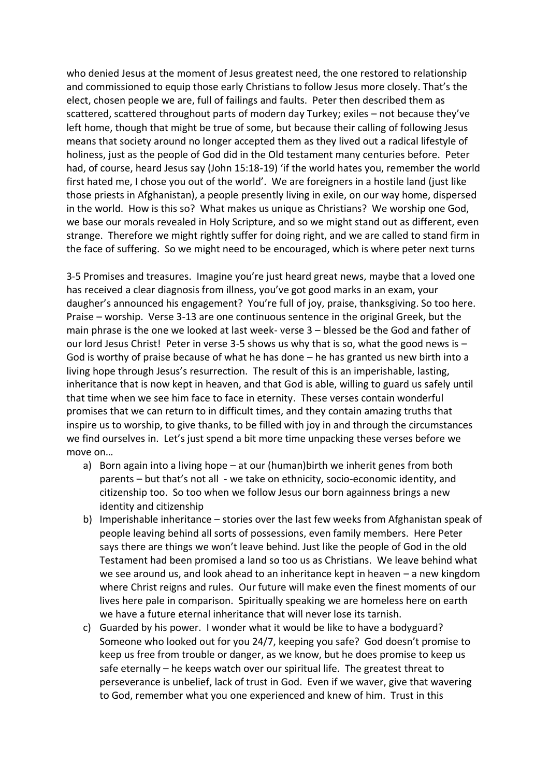who denied Jesus at the moment of Jesus greatest need, the one restored to relationship and commissioned to equip those early Christians to follow Jesus more closely. That's the elect, chosen people we are, full of failings and faults. Peter then described them as scattered, scattered throughout parts of modern day Turkey; exiles – not because they've left home, though that might be true of some, but because their calling of following Jesus means that society around no longer accepted them as they lived out a radical lifestyle of holiness, just as the people of God did in the Old testament many centuries before. Peter had, of course, heard Jesus say (John 15:18-19) 'if the world hates you, remember the world first hated me, I chose you out of the world'. We are foreigners in a hostile land (just like those priests in Afghanistan), a people presently living in exile, on our way home, dispersed in the world. How is this so? What makes us unique as Christians? We worship one God, we base our morals revealed in Holy Scripture, and so we might stand out as different, even strange. Therefore we might rightly suffer for doing right, and we are called to stand firm in the face of suffering. So we might need to be encouraged, which is where peter next turns

3-5 Promises and treasures. Imagine you're just heard great news, maybe that a loved one has received a clear diagnosis from illness, you've got good marks in an exam, your daugher's announced his engagement? You're full of joy, praise, thanksgiving. So too here. Praise – worship. Verse 3-13 are one continuous sentence in the original Greek, but the main phrase is the one we looked at last week- verse 3 – blessed be the God and father of our lord Jesus Christ! Peter in verse 3-5 shows us why that is so, what the good news is  $-$ God is worthy of praise because of what he has done – he has granted us new birth into a living hope through Jesus's resurrection. The result of this is an imperishable, lasting, inheritance that is now kept in heaven, and that God is able, willing to guard us safely until that time when we see him face to face in eternity. These verses contain wonderful promises that we can return to in difficult times, and they contain amazing truths that inspire us to worship, to give thanks, to be filled with joy in and through the circumstances we find ourselves in. Let's just spend a bit more time unpacking these verses before we move on…

- a) Born again into a living hope at our (human)birth we inherit genes from both parents – but that's not all - we take on ethnicity, socio-economic identity, and citizenship too. So too when we follow Jesus our born againness brings a new identity and citizenship
- b) Imperishable inheritance stories over the last few weeks from Afghanistan speak of people leaving behind all sorts of possessions, even family members. Here Peter says there are things we won't leave behind. Just like the people of God in the old Testament had been promised a land so too us as Christians. We leave behind what we see around us, and look ahead to an inheritance kept in heaven – a new kingdom where Christ reigns and rules. Our future will make even the finest moments of our lives here pale in comparison. Spiritually speaking we are homeless here on earth we have a future eternal inheritance that will never lose its tarnish.
- c) Guarded by his power. I wonder what it would be like to have a bodyguard? Someone who looked out for you 24/7, keeping you safe? God doesn't promise to keep us free from trouble or danger, as we know, but he does promise to keep us safe eternally – he keeps watch over our spiritual life. The greatest threat to perseverance is unbelief, lack of trust in God. Even if we waver, give that wavering to God, remember what you one experienced and knew of him. Trust in this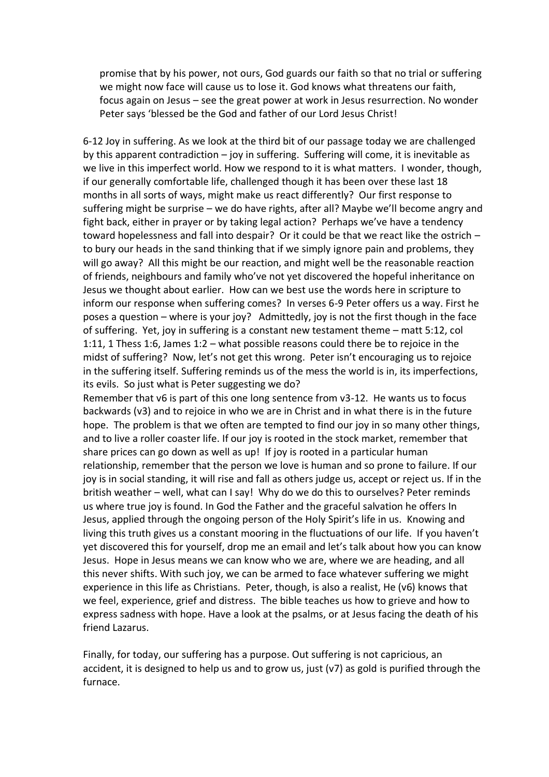promise that by his power, not ours, God guards our faith so that no trial or suffering we might now face will cause us to lose it. God knows what threatens our faith, focus again on Jesus – see the great power at work in Jesus resurrection. No wonder Peter says 'blessed be the God and father of our Lord Jesus Christ!

6-12 Joy in suffering. As we look at the third bit of our passage today we are challenged by this apparent contradiction – joy in suffering. Suffering will come, it is inevitable as we live in this imperfect world. How we respond to it is what matters. I wonder, though, if our generally comfortable life, challenged though it has been over these last 18 months in all sorts of ways, might make us react differently? Our first response to suffering might be surprise – we do have rights, after all? Maybe we'll become angry and fight back, either in prayer or by taking legal action? Perhaps we've have a tendency toward hopelessness and fall into despair? Or it could be that we react like the ostrich – to bury our heads in the sand thinking that if we simply ignore pain and problems, they will go away? All this might be our reaction, and might well be the reasonable reaction of friends, neighbours and family who've not yet discovered the hopeful inheritance on Jesus we thought about earlier. How can we best use the words here in scripture to inform our response when suffering comes? In verses 6-9 Peter offers us a way. First he poses a question – where is your joy? Admittedly, joy is not the first though in the face of suffering. Yet, joy in suffering is a constant new testament theme – matt 5:12, col 1:11, 1 Thess 1:6, James 1:2 – what possible reasons could there be to rejoice in the midst of suffering? Now, let's not get this wrong. Peter isn't encouraging us to rejoice in the suffering itself. Suffering reminds us of the mess the world is in, its imperfections, its evils. So just what is Peter suggesting we do?

Remember that v6 is part of this one long sentence from v3-12. He wants us to focus backwards (v3) and to rejoice in who we are in Christ and in what there is in the future hope. The problem is that we often are tempted to find our joy in so many other things, and to live a roller coaster life. If our joy is rooted in the stock market, remember that share prices can go down as well as up! If joy is rooted in a particular human relationship, remember that the person we love is human and so prone to failure. If our joy is in social standing, it will rise and fall as others judge us, accept or reject us. If in the british weather – well, what can I say! Why do we do this to ourselves? Peter reminds us where true joy is found. In God the Father and the graceful salvation he offers In Jesus, applied through the ongoing person of the Holy Spirit's life in us. Knowing and living this truth gives us a constant mooring in the fluctuations of our life. If you haven't yet discovered this for yourself, drop me an email and let's talk about how you can know Jesus. Hope in Jesus means we can know who we are, where we are heading, and all this never shifts. With such joy, we can be armed to face whatever suffering we might experience in this life as Christians. Peter, though, is also a realist, He (v6) knows that we feel, experience, grief and distress. The bible teaches us how to grieve and how to express sadness with hope. Have a look at the psalms, or at Jesus facing the death of his friend Lazarus.

Finally, for today, our suffering has a purpose. Out suffering is not capricious, an accident, it is designed to help us and to grow us, just (v7) as gold is purified through the furnace.